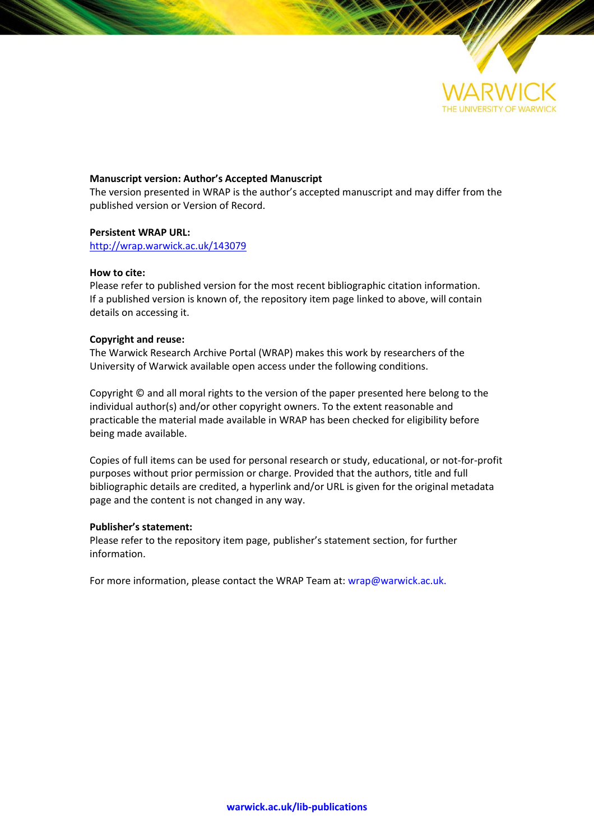

#### **Manuscript version: Author's Accepted Manuscript**

The version presented in WRAP is the author's accepted manuscript and may differ from the published version or Version of Record.

#### **Persistent WRAP URL:**

<http://wrap.warwick.ac.uk/143079>

#### **How to cite:**

Please refer to published version for the most recent bibliographic citation information. If a published version is known of, the repository item page linked to above, will contain details on accessing it.

#### **Copyright and reuse:**

The Warwick Research Archive Portal (WRAP) makes this work by researchers of the University of Warwick available open access under the following conditions.

Copyright © and all moral rights to the version of the paper presented here belong to the individual author(s) and/or other copyright owners. To the extent reasonable and practicable the material made available in WRAP has been checked for eligibility before being made available.

Copies of full items can be used for personal research or study, educational, or not-for-profit purposes without prior permission or charge. Provided that the authors, title and full bibliographic details are credited, a hyperlink and/or URL is given for the original metadata page and the content is not changed in any way.

#### **Publisher's statement:**

Please refer to the repository item page, publisher's statement section, for further information.

For more information, please contact the WRAP Team at[: wrap@warwick.ac.uk.](mailto:wrap@warwick.ac.uk)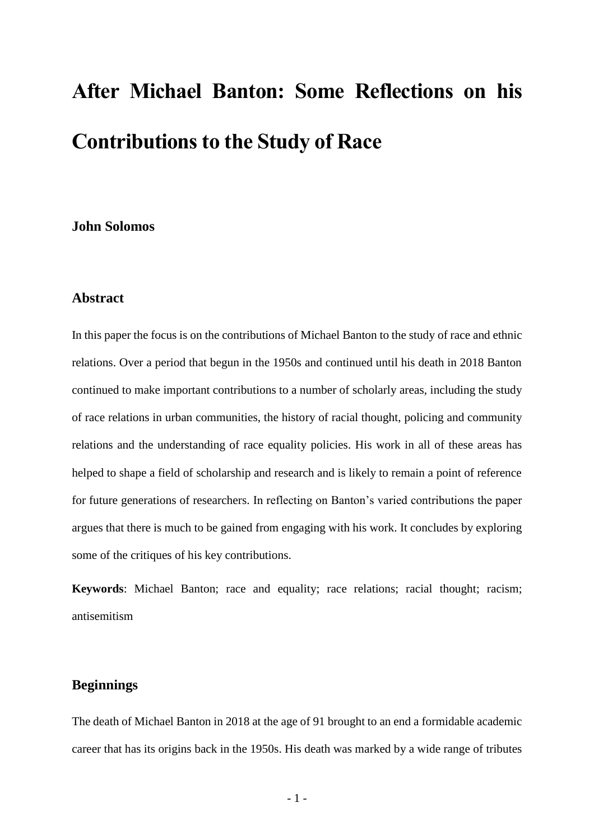# **After Michael Banton: Some Reflections on his Contributions to the Study of Race**

# **John Solomos**

# **Abstract**

In this paper the focus is on the contributions of Michael Banton to the study of race and ethnic relations. Over a period that begun in the 1950s and continued until his death in 2018 Banton continued to make important contributions to a number of scholarly areas, including the study of race relations in urban communities, the history of racial thought, policing and community relations and the understanding of race equality policies. His work in all of these areas has helped to shape a field of scholarship and research and is likely to remain a point of reference for future generations of researchers. In reflecting on Banton's varied contributions the paper argues that there is much to be gained from engaging with his work. It concludes by exploring some of the critiques of his key contributions.

**Keywords**: Michael Banton; race and equality; race relations; racial thought; racism; antisemitism

## **Beginnings**

The death of Michael Banton in 2018 at the age of 91 brought to an end a formidable academic career that has its origins back in the 1950s. His death was marked by a wide range of tributes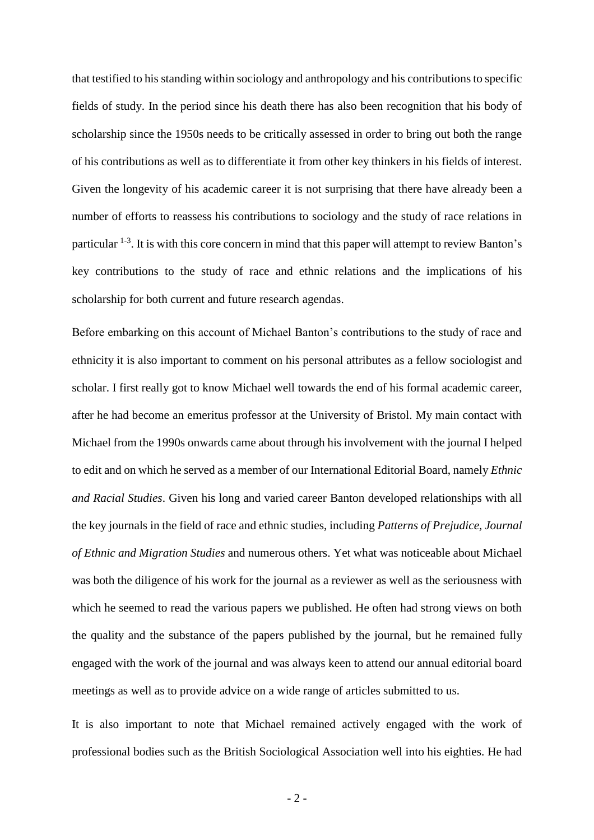that testified to his standing within sociology and anthropology and his contributions to specific fields of study. In the period since his death there has also been recognition that his body of scholarship since the 1950s needs to be critically assessed in order to bring out both the range of his contributions as well as to differentiate it from other key thinkers in his fields of interest. Given the longevity of his academic career it is not surprising that there have already been a number of efforts to reassess his contributions to sociology and the study of race relations in particular <sup>1-3</sup>. It is with this core concern in mind that this paper will attempt to review Banton's key contributions to the study of race and ethnic relations and the implications of his scholarship for both current and future research agendas.

Before embarking on this account of Michael Banton's contributions to the study of race and ethnicity it is also important to comment on his personal attributes as a fellow sociologist and scholar. I first really got to know Michael well towards the end of his formal academic career, after he had become an emeritus professor at the University of Bristol. My main contact with Michael from the 1990s onwards came about through his involvement with the journal I helped to edit and on which he served as a member of our International Editorial Board, namely *Ethnic and Racial Studies*. Given his long and varied career Banton developed relationships with all the key journals in the field of race and ethnic studies, including *Patterns of Prejudice, Journal of Ethnic and Migration Studies* and numerous others. Yet what was noticeable about Michael was both the diligence of his work for the journal as a reviewer as well as the seriousness with which he seemed to read the various papers we published. He often had strong views on both the quality and the substance of the papers published by the journal, but he remained fully engaged with the work of the journal and was always keen to attend our annual editorial board meetings as well as to provide advice on a wide range of articles submitted to us.

It is also important to note that Michael remained actively engaged with the work of professional bodies such as the British Sociological Association well into his eighties. He had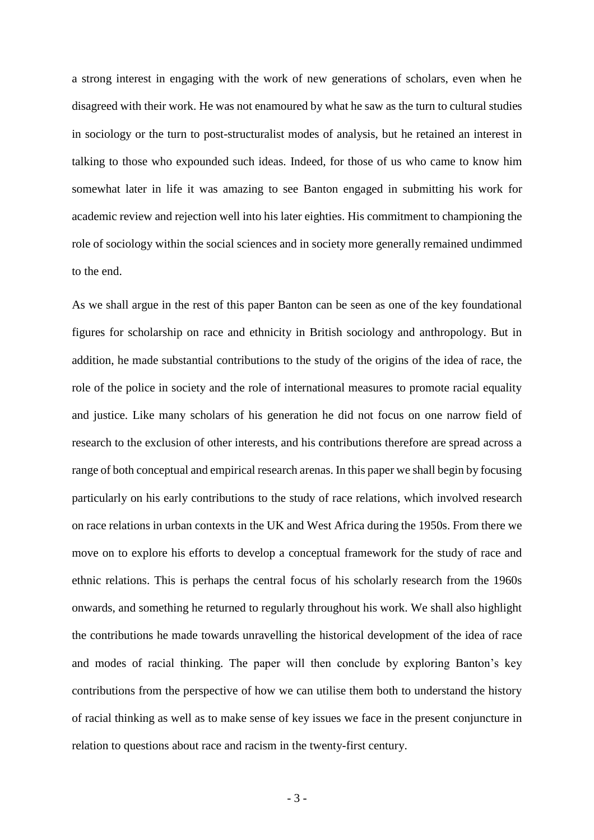a strong interest in engaging with the work of new generations of scholars, even when he disagreed with their work. He was not enamoured by what he saw as the turn to cultural studies in sociology or the turn to post-structuralist modes of analysis, but he retained an interest in talking to those who expounded such ideas. Indeed, for those of us who came to know him somewhat later in life it was amazing to see Banton engaged in submitting his work for academic review and rejection well into his later eighties. His commitment to championing the role of sociology within the social sciences and in society more generally remained undimmed to the end.

As we shall argue in the rest of this paper Banton can be seen as one of the key foundational figures for scholarship on race and ethnicity in British sociology and anthropology. But in addition, he made substantial contributions to the study of the origins of the idea of race, the role of the police in society and the role of international measures to promote racial equality and justice. Like many scholars of his generation he did not focus on one narrow field of research to the exclusion of other interests, and his contributions therefore are spread across a range of both conceptual and empirical research arenas. In this paper we shall begin by focusing particularly on his early contributions to the study of race relations, which involved research on race relations in urban contexts in the UK and West Africa during the 1950s. From there we move on to explore his efforts to develop a conceptual framework for the study of race and ethnic relations. This is perhaps the central focus of his scholarly research from the 1960s onwards, and something he returned to regularly throughout his work. We shall also highlight the contributions he made towards unravelling the historical development of the idea of race and modes of racial thinking. The paper will then conclude by exploring Banton's key contributions from the perspective of how we can utilise them both to understand the history of racial thinking as well as to make sense of key issues we face in the present conjuncture in relation to questions about race and racism in the twenty-first century.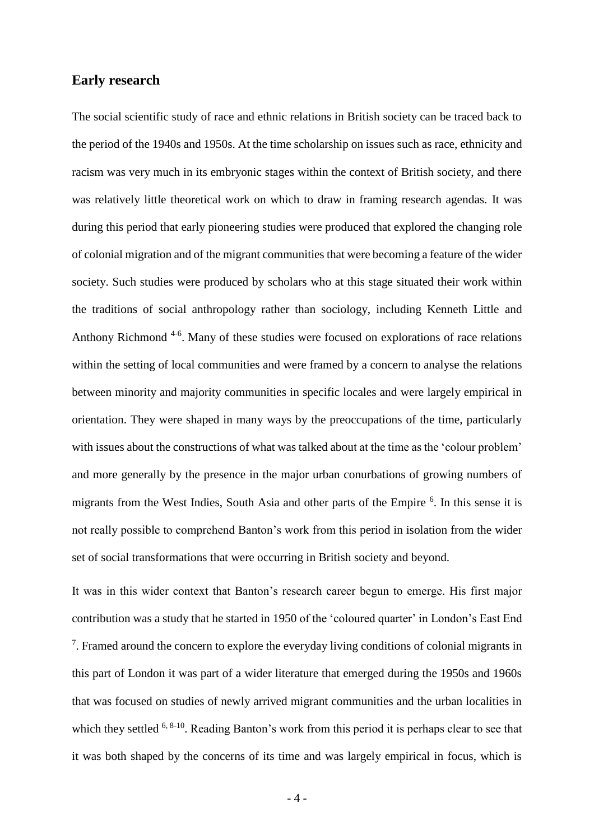### **Early research**

The social scientific study of race and ethnic relations in British society can be traced back to the period of the 1940s and 1950s. At the time scholarship on issues such as race, ethnicity and racism was very much in its embryonic stages within the context of British society, and there was relatively little theoretical work on which to draw in framing research agendas. It was during this period that early pioneering studies were produced that explored the changing role of colonial migration and of the migrant communities that were becoming a feature of the wider society. Such studies were produced by scholars who at this stage situated their work within the traditions of social anthropology rather than sociology, including Kenneth Little and Anthony Richmond<sup>4-6</sup>. Many of these studies were focused on explorations of race relations within the setting of local communities and were framed by a concern to analyse the relations between minority and majority communities in specific locales and were largely empirical in orientation. They were shaped in many ways by the preoccupations of the time, particularly with issues about the constructions of what was talked about at the time as the 'colour problem' and more generally by the presence in the major urban conurbations of growing numbers of migrants from the West Indies, South Asia and other parts of the Empire <sup>6</sup>. In this sense it is not really possible to comprehend Banton's work from this period in isolation from the wider set of social transformations that were occurring in British society and beyond.

It was in this wider context that Banton's research career begun to emerge. His first major contribution was a study that he started in 1950 of the 'coloured quarter' in London's East End  $7$ . Framed around the concern to explore the everyday living conditions of colonial migrants in this part of London it was part of a wider literature that emerged during the 1950s and 1960s that was focused on studies of newly arrived migrant communities and the urban localities in which they settled  $6, 8-10$ . Reading Banton's work from this period it is perhaps clear to see that it was both shaped by the concerns of its time and was largely empirical in focus, which is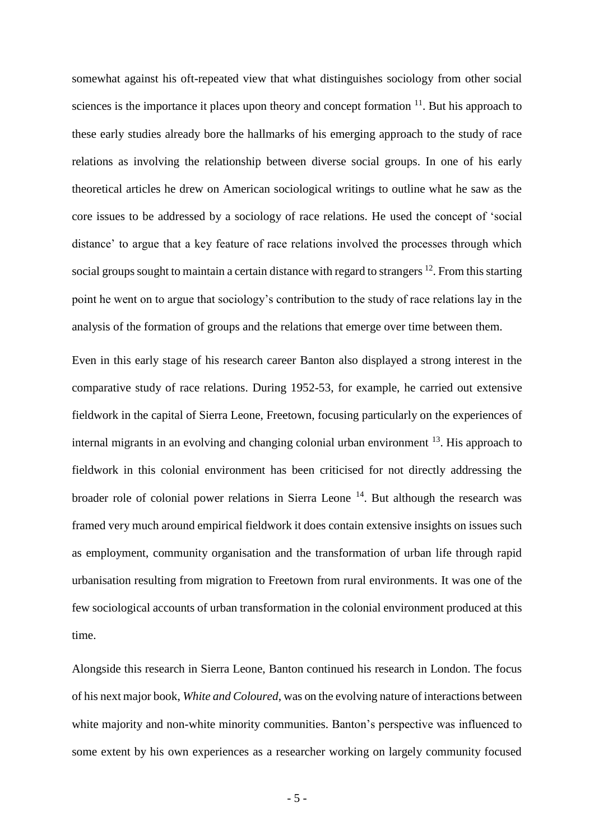somewhat against his oft-repeated view that what distinguishes sociology from other social sciences is the importance it places upon theory and concept formation  $11$ . But his approach to these early studies already bore the hallmarks of his emerging approach to the study of race relations as involving the relationship between diverse social groups. In one of his early theoretical articles he drew on American sociological writings to outline what he saw as the core issues to be addressed by a sociology of race relations. He used the concept of 'social distance' to argue that a key feature of race relations involved the processes through which social groups sought to maintain a certain distance with regard to strangers <sup>12</sup>. From this starting point he went on to argue that sociology's contribution to the study of race relations lay in the analysis of the formation of groups and the relations that emerge over time between them.

Even in this early stage of his research career Banton also displayed a strong interest in the comparative study of race relations. During 1952-53, for example, he carried out extensive fieldwork in the capital of Sierra Leone, Freetown, focusing particularly on the experiences of internal migrants in an evolving and changing colonial urban environment <sup>13</sup>. His approach to fieldwork in this colonial environment has been criticised for not directly addressing the broader role of colonial power relations in Sierra Leone  $14$ . But although the research was framed very much around empirical fieldwork it does contain extensive insights on issues such as employment, community organisation and the transformation of urban life through rapid urbanisation resulting from migration to Freetown from rural environments. It was one of the few sociological accounts of urban transformation in the colonial environment produced at this time.

Alongside this research in Sierra Leone, Banton continued his research in London. The focus of his next major book, *White and Coloured*, was on the evolving nature of interactions between white majority and non-white minority communities. Banton's perspective was influenced to some extent by his own experiences as a researcher working on largely community focused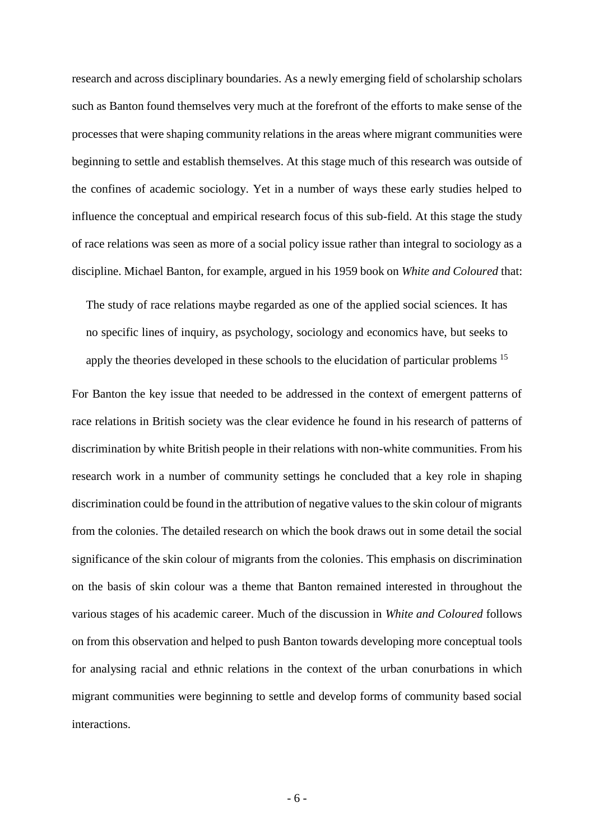research and across disciplinary boundaries. As a newly emerging field of scholarship scholars such as Banton found themselves very much at the forefront of the efforts to make sense of the processes that were shaping community relations in the areas where migrant communities were beginning to settle and establish themselves. At this stage much of this research was outside of the confines of academic sociology. Yet in a number of ways these early studies helped to influence the conceptual and empirical research focus of this sub-field. At this stage the study of race relations was seen as more of a social policy issue rather than integral to sociology as a discipline. Michael Banton, for example, argued in his 1959 book on *White and Coloured* that:

The study of race relations maybe regarded as one of the applied social sciences. It has no specific lines of inquiry, as psychology, sociology and economics have, but seeks to apply the theories developed in these schools to the elucidation of particular problems <sup>15</sup>

For Banton the key issue that needed to be addressed in the context of emergent patterns of race relations in British society was the clear evidence he found in his research of patterns of discrimination by white British people in their relations with non-white communities. From his research work in a number of community settings he concluded that a key role in shaping discrimination could be found in the attribution of negative values to the skin colour of migrants from the colonies. The detailed research on which the book draws out in some detail the social significance of the skin colour of migrants from the colonies. This emphasis on discrimination on the basis of skin colour was a theme that Banton remained interested in throughout the various stages of his academic career. Much of the discussion in *White and Coloured* follows on from this observation and helped to push Banton towards developing more conceptual tools for analysing racial and ethnic relations in the context of the urban conurbations in which migrant communities were beginning to settle and develop forms of community based social interactions.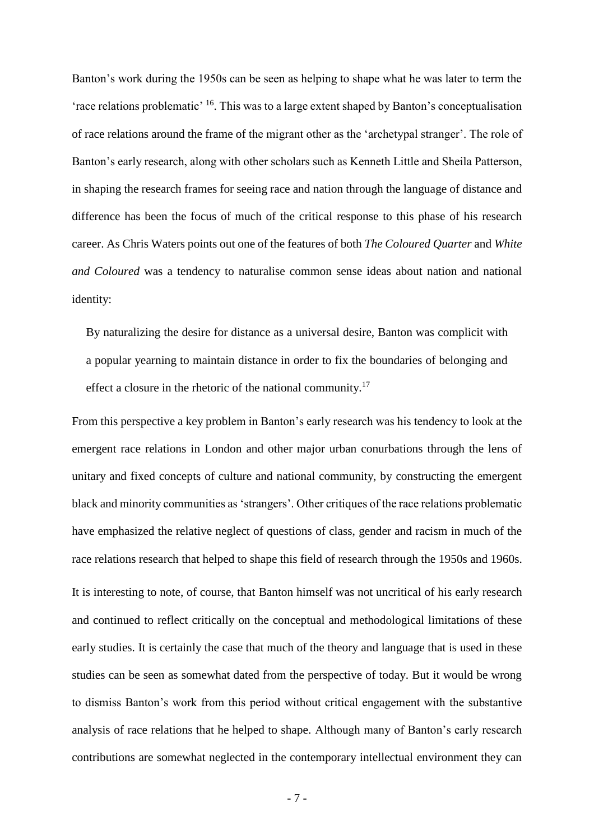Banton's work during the 1950s can be seen as helping to shape what he was later to term the 'race relations problematic' <sup>16</sup>. This was to a large extent shaped by Banton's conceptualisation of race relations around the frame of the migrant other as the 'archetypal stranger'. The role of Banton's early research, along with other scholars such as Kenneth Little and Sheila Patterson, in shaping the research frames for seeing race and nation through the language of distance and difference has been the focus of much of the critical response to this phase of his research career. As Chris Waters points out one of the features of both *The Coloured Quarter* and *White and Coloured* was a tendency to naturalise common sense ideas about nation and national identity:

By naturalizing the desire for distance as a universal desire, Banton was complicit with a popular yearning to maintain distance in order to fix the boundaries of belonging and effect a closure in the rhetoric of the national community.<sup>17</sup>

From this perspective a key problem in Banton's early research was his tendency to look at the emergent race relations in London and other major urban conurbations through the lens of unitary and fixed concepts of culture and national community, by constructing the emergent black and minority communities as 'strangers'. Other critiques of the race relations problematic have emphasized the relative neglect of questions of class, gender and racism in much of the race relations research that helped to shape this field of research through the 1950s and 1960s. It is interesting to note, of course, that Banton himself was not uncritical of his early research and continued to reflect critically on the conceptual and methodological limitations of these early studies. It is certainly the case that much of the theory and language that is used in these studies can be seen as somewhat dated from the perspective of today. But it would be wrong to dismiss Banton's work from this period without critical engagement with the substantive analysis of race relations that he helped to shape. Although many of Banton's early research contributions are somewhat neglected in the contemporary intellectual environment they can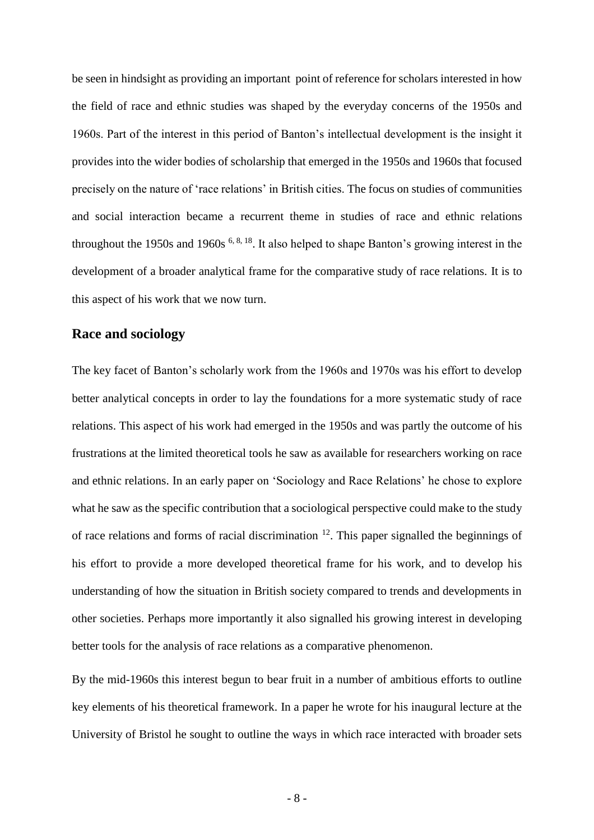be seen in hindsight as providing an important point of reference for scholars interested in how the field of race and ethnic studies was shaped by the everyday concerns of the 1950s and 1960s. Part of the interest in this period of Banton's intellectual development is the insight it provides into the wider bodies of scholarship that emerged in the 1950s and 1960s that focused precisely on the nature of 'race relations' in British cities. The focus on studies of communities and social interaction became a recurrent theme in studies of race and ethnic relations throughout the 1950s and 1960s <sup>6, 8, 18</sup>. It also helped to shape Banton's growing interest in the development of a broader analytical frame for the comparative study of race relations. It is to this aspect of his work that we now turn.

## **Race and sociology**

The key facet of Banton's scholarly work from the 1960s and 1970s was his effort to develop better analytical concepts in order to lay the foundations for a more systematic study of race relations. This aspect of his work had emerged in the 1950s and was partly the outcome of his frustrations at the limited theoretical tools he saw as available for researchers working on race and ethnic relations. In an early paper on 'Sociology and Race Relations' he chose to explore what he saw as the specific contribution that a sociological perspective could make to the study of race relations and forms of racial discrimination  $12$ . This paper signalled the beginnings of his effort to provide a more developed theoretical frame for his work, and to develop his understanding of how the situation in British society compared to trends and developments in other societies. Perhaps more importantly it also signalled his growing interest in developing better tools for the analysis of race relations as a comparative phenomenon.

By the mid-1960s this interest begun to bear fruit in a number of ambitious efforts to outline key elements of his theoretical framework. In a paper he wrote for his inaugural lecture at the University of Bristol he sought to outline the ways in which race interacted with broader sets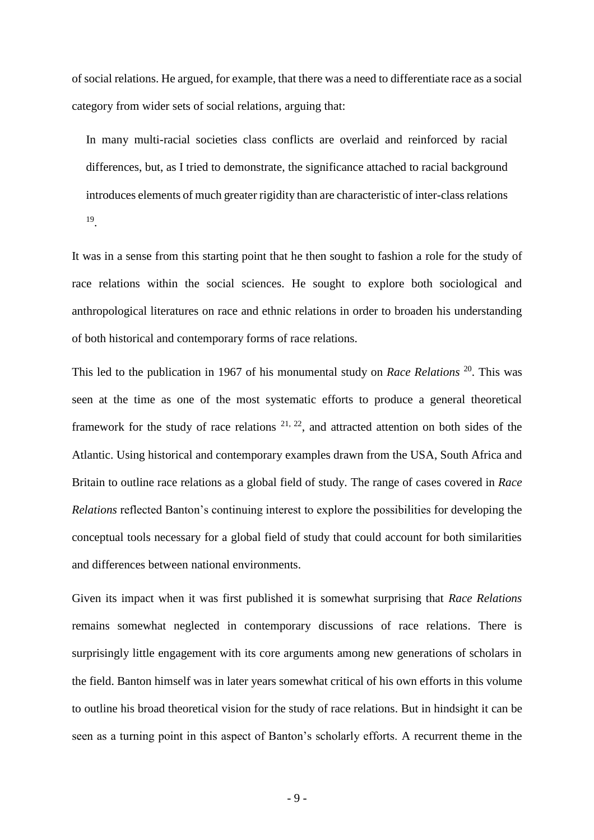of social relations. He argued, for example, that there was a need to differentiate race as a social category from wider sets of social relations, arguing that:

In many multi-racial societies class conflicts are overlaid and reinforced by racial differences, but, as I tried to demonstrate, the significance attached to racial background introduces elements of much greater rigidity than are characteristic of inter-class relations 19 .

It was in a sense from this starting point that he then sought to fashion a role for the study of race relations within the social sciences. He sought to explore both sociological and anthropological literatures on race and ethnic relations in order to broaden his understanding of both historical and contemporary forms of race relations.

This led to the publication in 1967 of his monumental study on *Race Relations* <sup>20</sup>. This was seen at the time as one of the most systematic efforts to produce a general theoretical framework for the study of race relations  $2^{1, 22}$ , and attracted attention on both sides of the Atlantic. Using historical and contemporary examples drawn from the USA, South Africa and Britain to outline race relations as a global field of study. The range of cases covered in *Race Relations* reflected Banton's continuing interest to explore the possibilities for developing the conceptual tools necessary for a global field of study that could account for both similarities and differences between national environments.

Given its impact when it was first published it is somewhat surprising that *Race Relations* remains somewhat neglected in contemporary discussions of race relations. There is surprisingly little engagement with its core arguments among new generations of scholars in the field. Banton himself was in later years somewhat critical of his own efforts in this volume to outline his broad theoretical vision for the study of race relations. But in hindsight it can be seen as a turning point in this aspect of Banton's scholarly efforts. A recurrent theme in the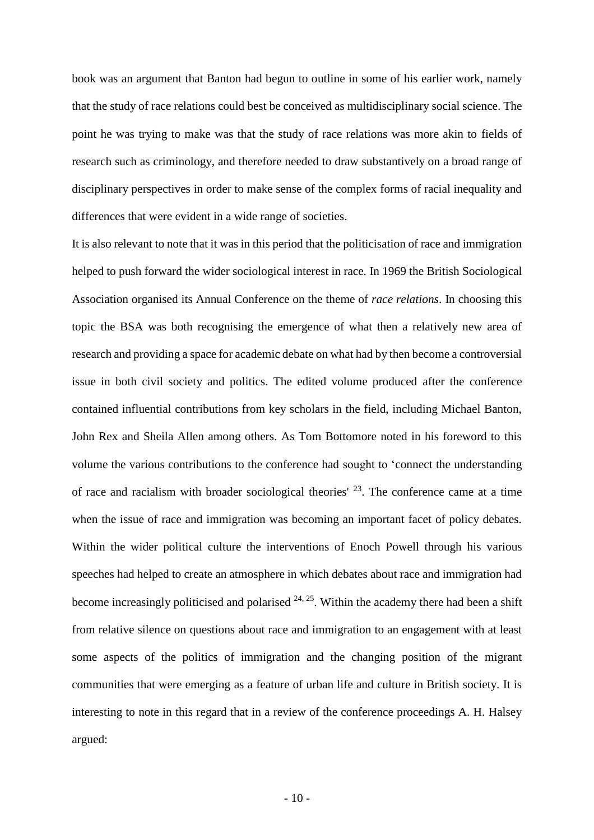book was an argument that Banton had begun to outline in some of his earlier work, namely that the study of race relations could best be conceived as multidisciplinary social science. The point he was trying to make was that the study of race relations was more akin to fields of research such as criminology, and therefore needed to draw substantively on a broad range of disciplinary perspectives in order to make sense of the complex forms of racial inequality and differences that were evident in a wide range of societies.

It is also relevant to note that it was in this period that the politicisation of race and immigration helped to push forward the wider sociological interest in race. In 1969 the British Sociological Association organised its Annual Conference on the theme of *race relations*. In choosing this topic the BSA was both recognising the emergence of what then a relatively new area of research and providing a space for academic debate on what had by then become a controversial issue in both civil society and politics. The edited volume produced after the conference contained influential contributions from key scholars in the field, including Michael Banton, John Rex and Sheila Allen among others. As Tom Bottomore noted in his foreword to this volume the various contributions to the conference had sought to 'connect the understanding of race and racialism with broader sociological theories'  $^{23}$ . The conference came at a time when the issue of race and immigration was becoming an important facet of policy debates. Within the wider political culture the interventions of Enoch Powell through his various speeches had helped to create an atmosphere in which debates about race and immigration had become increasingly politicised and polarised  $24, 25$ . Within the academy there had been a shift from relative silence on questions about race and immigration to an engagement with at least some aspects of the politics of immigration and the changing position of the migrant communities that were emerging as a feature of urban life and culture in British society. It is interesting to note in this regard that in a review of the conference proceedings A. H. Halsey argued: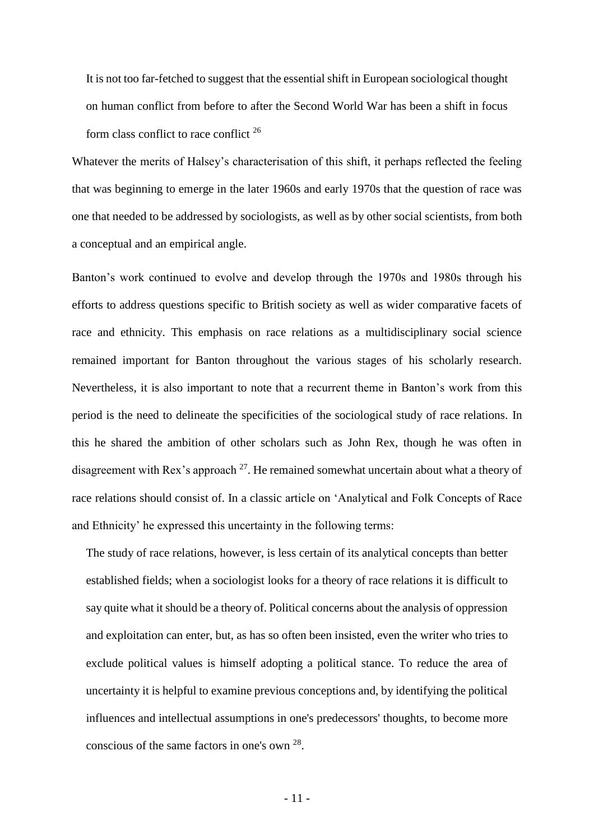It is not too far-fetched to suggest that the essential shift in European sociological thought on human conflict from before to after the Second World War has been a shift in focus form class conflict to race conflict <sup>26</sup>

Whatever the merits of Halsey's characterisation of this shift, it perhaps reflected the feeling that was beginning to emerge in the later 1960s and early 1970s that the question of race was one that needed to be addressed by sociologists, as well as by other social scientists, from both a conceptual and an empirical angle.

Banton's work continued to evolve and develop through the 1970s and 1980s through his efforts to address questions specific to British society as well as wider comparative facets of race and ethnicity. This emphasis on race relations as a multidisciplinary social science remained important for Banton throughout the various stages of his scholarly research. Nevertheless, it is also important to note that a recurrent theme in Banton's work from this period is the need to delineate the specificities of the sociological study of race relations. In this he shared the ambition of other scholars such as John Rex, though he was often in disagreement with Rex's approach  $27$ . He remained somewhat uncertain about what a theory of race relations should consist of. In a classic article on 'Analytical and Folk Concepts of Race and Ethnicity' he expressed this uncertainty in the following terms:

The study of race relations, however, is less certain of its analytical concepts than better established fields; when a sociologist looks for a theory of race relations it is difficult to say quite what it should be a theory of. Political concerns about the analysis of oppression and exploitation can enter, but, as has so often been insisted, even the writer who tries to exclude political values is himself adopting a political stance. To reduce the area of uncertainty it is helpful to examine previous conceptions and, by identifying the political influences and intellectual assumptions in one's predecessors' thoughts, to become more conscious of the same factors in one's own <sup>28</sup>.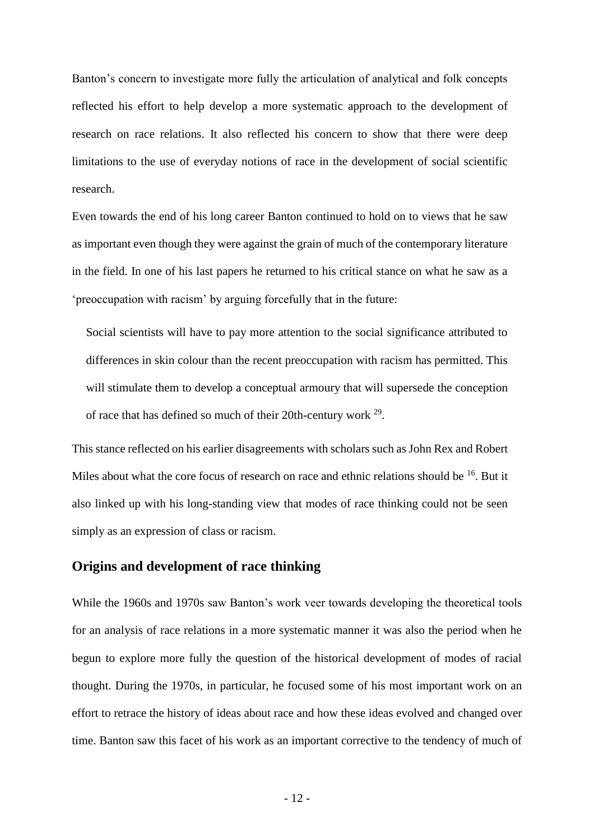Banton's concern to investigate more fully the articulation of analytical and folk concepts reflected his effort to help develop a more systematic approach to the development of research on race relations. It also reflected his concern to show that there were deep limitations to the use of everyday notions of race in the development of social scientific research.

Even towards the end of his long career Banton continued to hold on to views that he saw as important even though they were against the grain of much of the contemporary literature in the field. In one of his last papers he returned to his critical stance on what he saw as a 'preoccupation with racism' by arguing forcefully that in the future:

Social scientists will have to pay more attention to the social significance attributed to differences in skin colour than the recent preoccupation with racism has permitted. This will stimulate them to develop a conceptual armoury that will supersede the conception of race that has defined so much of their 20th-century work  $2^9$ .

This stance reflected on his earlier disagreements with scholars such as John Rex and Robert Miles about what the core focus of research on race and ethnic relations should be <sup>16</sup>. But it also linked up with his long-standing view that modes of race thinking could not be seen simply as an expression of class or racism.

## **Origins and development of race thinking**

While the 1960s and 1970s saw Banton's work veer towards developing the theoretical tools for an analysis of race relations in a more systematic manner it was also the period when he begun to explore more fully the question of the historical development of modes of racial thought. During the 1970s, in particular, he focused some of his most important work on an effort to retrace the history of ideas about race and how these ideas evolved and changed over time. Banton saw this facet of his work as an important corrective to the tendency of much of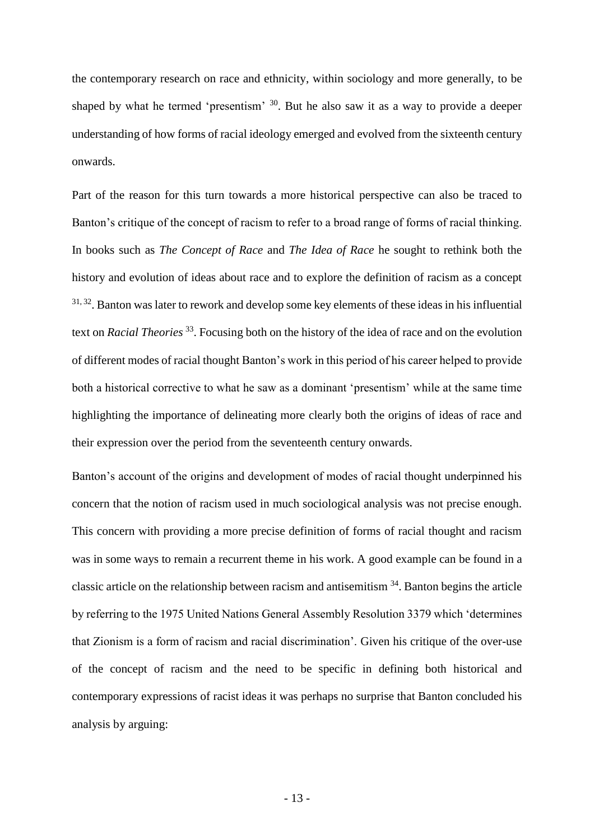the contemporary research on race and ethnicity, within sociology and more generally, to be shaped by what he termed 'presentism'  $30$ . But he also saw it as a way to provide a deeper understanding of how forms of racial ideology emerged and evolved from the sixteenth century onwards.

Part of the reason for this turn towards a more historical perspective can also be traced to Banton's critique of the concept of racism to refer to a broad range of forms of racial thinking. In books such as *The Concept of Race* and *The Idea of Race* he sought to rethink both the history and evolution of ideas about race and to explore the definition of racism as a concept <sup>31, 32</sup>. Banton was later to rework and develop some key elements of these ideas in his influential text on *Racial Theories* <sup>33</sup> . Focusing both on the history of the idea of race and on the evolution of different modes of racial thought Banton's work in this period of his career helped to provide both a historical corrective to what he saw as a dominant 'presentism' while at the same time highlighting the importance of delineating more clearly both the origins of ideas of race and their expression over the period from the seventeenth century onwards.

Banton's account of the origins and development of modes of racial thought underpinned his concern that the notion of racism used in much sociological analysis was not precise enough. This concern with providing a more precise definition of forms of racial thought and racism was in some ways to remain a recurrent theme in his work. A good example can be found in a classic article on the relationship between racism and antisemitism  $34$ . Banton begins the article by referring to the 1975 United Nations General Assembly Resolution 3379 which 'determines that Zionism is a form of racism and racial discrimination'. Given his critique of the over-use of the concept of racism and the need to be specific in defining both historical and contemporary expressions of racist ideas it was perhaps no surprise that Banton concluded his analysis by arguing: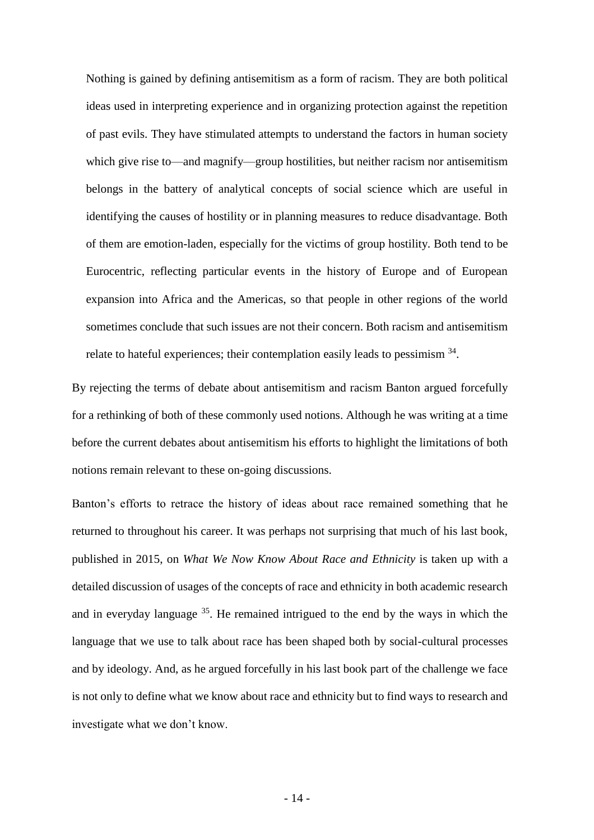Nothing is gained by defining antisemitism as a form of racism. They are both political ideas used in interpreting experience and in organizing protection against the repetition of past evils. They have stimulated attempts to understand the factors in human society which give rise to—and magnify—group hostilities, but neither racism nor antisemitism belongs in the battery of analytical concepts of social science which are useful in identifying the causes of hostility or in planning measures to reduce disadvantage. Both of them are emotion-laden, especially for the victims of group hostility. Both tend to be Eurocentric, reflecting particular events in the history of Europe and of European expansion into Africa and the Americas, so that people in other regions of the world sometimes conclude that such issues are not their concern. Both racism and antisemitism relate to hateful experiences; their contemplation easily leads to pessimism  $34$ .

By rejecting the terms of debate about antisemitism and racism Banton argued forcefully for a rethinking of both of these commonly used notions. Although he was writing at a time before the current debates about antisemitism his efforts to highlight the limitations of both notions remain relevant to these on-going discussions.

Banton's efforts to retrace the history of ideas about race remained something that he returned to throughout his career. It was perhaps not surprising that much of his last book, published in 2015, on *What We Now Know About Race and Ethnicity* is taken up with a detailed discussion of usages of the concepts of race and ethnicity in both academic research and in everyday language  $35$ . He remained intrigued to the end by the ways in which the language that we use to talk about race has been shaped both by social-cultural processes and by ideology. And, as he argued forcefully in his last book part of the challenge we face is not only to define what we know about race and ethnicity but to find ways to research and investigate what we don't know.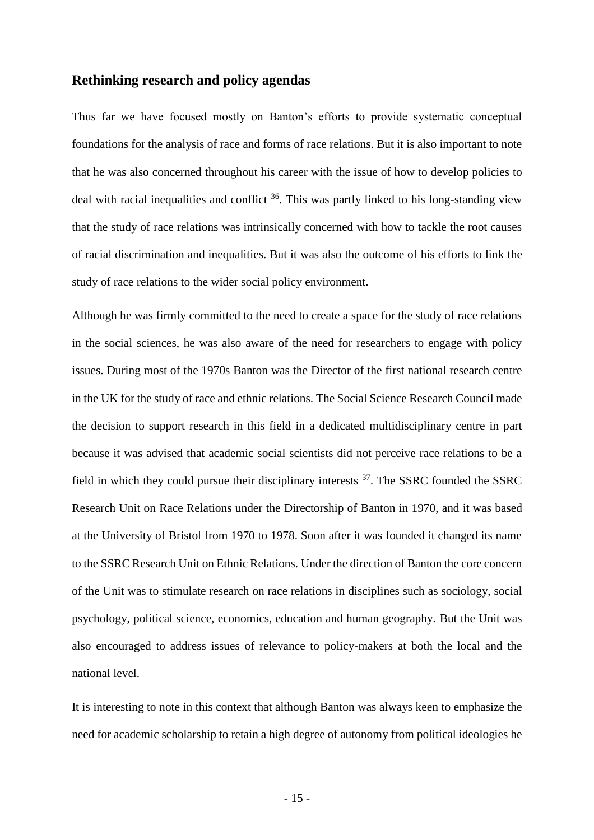## **Rethinking research and policy agendas**

Thus far we have focused mostly on Banton's efforts to provide systematic conceptual foundations for the analysis of race and forms of race relations. But it is also important to note that he was also concerned throughout his career with the issue of how to develop policies to deal with racial inequalities and conflict <sup>36</sup>. This was partly linked to his long-standing view that the study of race relations was intrinsically concerned with how to tackle the root causes of racial discrimination and inequalities. But it was also the outcome of his efforts to link the study of race relations to the wider social policy environment.

Although he was firmly committed to the need to create a space for the study of race relations in the social sciences, he was also aware of the need for researchers to engage with policy issues. During most of the 1970s Banton was the Director of the first national research centre in the UK for the study of race and ethnic relations. The Social Science Research Council made the decision to support research in this field in a dedicated multidisciplinary centre in part because it was advised that academic social scientists did not perceive race relations to be a field in which they could pursue their disciplinary interests  $37$ . The SSRC founded the SSRC Research Unit on Race Relations under the Directorship of Banton in 1970, and it was based at the University of Bristol from 1970 to 1978. Soon after it was founded it changed its name to the SSRC Research Unit on Ethnic Relations. Under the direction of Banton the core concern of the Unit was to stimulate research on race relations in disciplines such as sociology, social psychology, political science, economics, education and human geography. But the Unit was also encouraged to address issues of relevance to policy-makers at both the local and the national level.

It is interesting to note in this context that although Banton was always keen to emphasize the need for academic scholarship to retain a high degree of autonomy from political ideologies he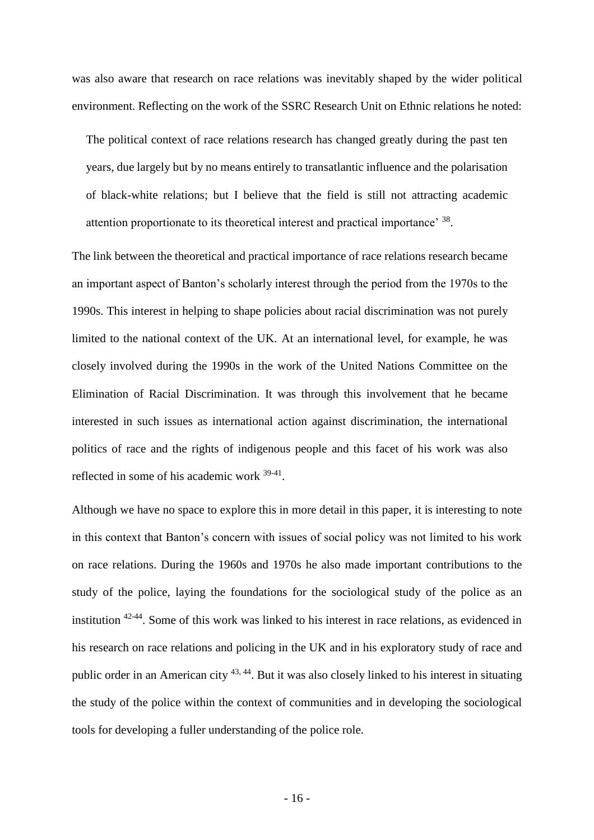was also aware that research on race relations was inevitably shaped by the wider political environment. Reflecting on the work of the SSRC Research Unit on Ethnic relations he noted:

The political context of race relations research has changed greatly during the past ten years, due largely but by no means entirely to transatlantic influence and the polarisation of black-white relations; but I believe that the field is still not attracting academic attention proportionate to its theoretical interest and practical importance' 38.

The link between the theoretical and practical importance of race relations research became an important aspect of Banton's scholarly interest through the period from the 1970s to the 1990s. This interest in helping to shape policies about racial discrimination was not purely limited to the national context of the UK. At an international level, for example, he was closely involved during the 1990s in the work of the United Nations Committee on the Elimination of Racial Discrimination. It was through this involvement that he became interested in such issues as international action against discrimination, the international politics of race and the rights of indigenous people and this facet of his work was also reflected in some of his academic work <sup>39-41</sup>.

Although we have no space to explore this in more detail in this paper, it is interesting to note in this context that Banton's concern with issues of social policy was not limited to his work on race relations. During the 1960s and 1970s he also made important contributions to the study of the police, laying the foundations for the sociological study of the police as an institution 42-44 . Some of this work was linked to his interest in race relations, as evidenced in his research on race relations and policing in the UK and in his exploratory study of race and public order in an American city 43, 44. But it was also closely linked to his interest in situating the study of the police within the context of communities and in developing the sociological tools for developing a fuller understanding of the police role.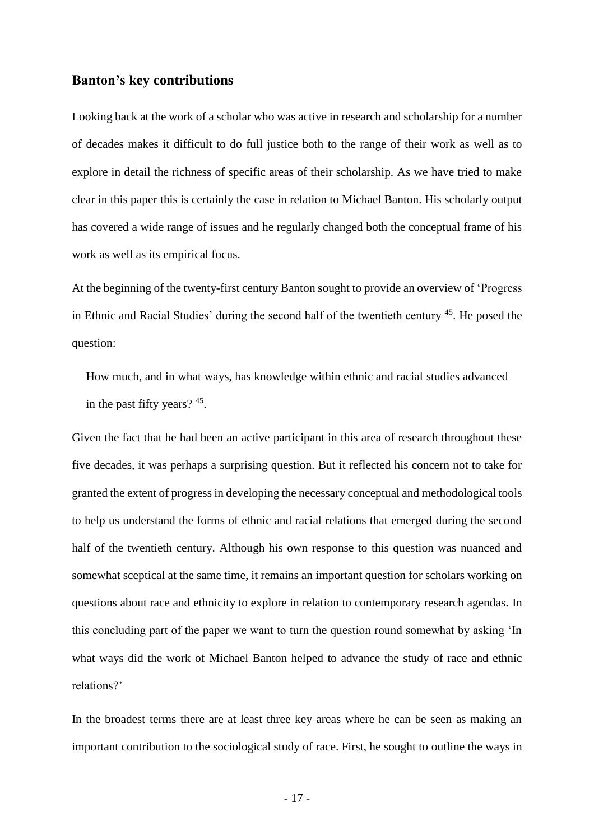### **Banton's key contributions**

Looking back at the work of a scholar who was active in research and scholarship for a number of decades makes it difficult to do full justice both to the range of their work as well as to explore in detail the richness of specific areas of their scholarship. As we have tried to make clear in this paper this is certainly the case in relation to Michael Banton. His scholarly output has covered a wide range of issues and he regularly changed both the conceptual frame of his work as well as its empirical focus.

At the beginning of the twenty-first century Banton sought to provide an overview of 'Progress in Ethnic and Racial Studies' during the second half of the twentieth century <sup>45</sup>. He posed the question:

How much, and in what ways, has knowledge within ethnic and racial studies advanced in the past fifty years? <sup>45</sup>.

Given the fact that he had been an active participant in this area of research throughout these five decades, it was perhaps a surprising question. But it reflected his concern not to take for granted the extent of progress in developing the necessary conceptual and methodological tools to help us understand the forms of ethnic and racial relations that emerged during the second half of the twentieth century. Although his own response to this question was nuanced and somewhat sceptical at the same time, it remains an important question for scholars working on questions about race and ethnicity to explore in relation to contemporary research agendas. In this concluding part of the paper we want to turn the question round somewhat by asking 'In what ways did the work of Michael Banton helped to advance the study of race and ethnic relations?'

In the broadest terms there are at least three key areas where he can be seen as making an important contribution to the sociological study of race. First, he sought to outline the ways in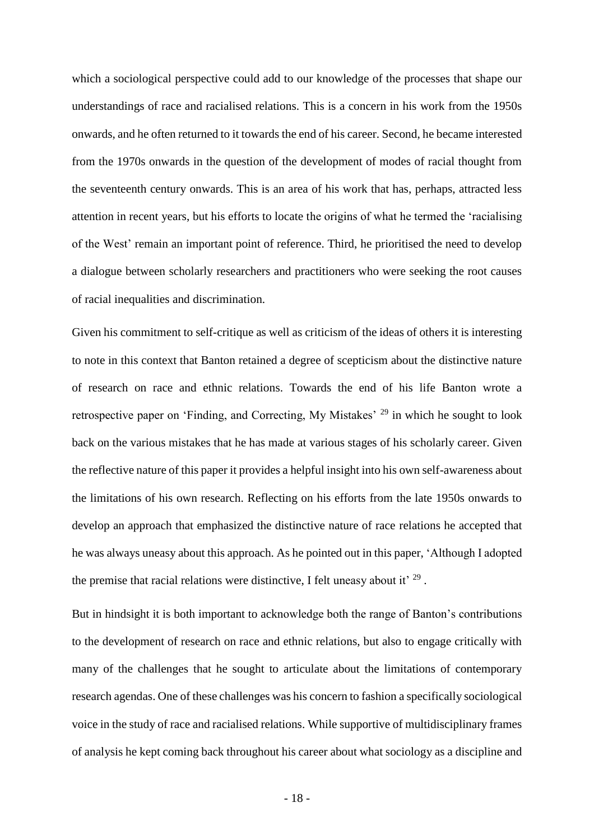which a sociological perspective could add to our knowledge of the processes that shape our understandings of race and racialised relations. This is a concern in his work from the 1950s onwards, and he often returned to it towards the end of his career. Second, he became interested from the 1970s onwards in the question of the development of modes of racial thought from the seventeenth century onwards. This is an area of his work that has, perhaps, attracted less attention in recent years, but his efforts to locate the origins of what he termed the 'racialising of the West' remain an important point of reference. Third, he prioritised the need to develop a dialogue between scholarly researchers and practitioners who were seeking the root causes of racial inequalities and discrimination.

Given his commitment to self-critique as well as criticism of the ideas of others it is interesting to note in this context that Banton retained a degree of scepticism about the distinctive nature of research on race and ethnic relations. Towards the end of his life Banton wrote a retrospective paper on 'Finding, and Correcting, My Mistakes' <sup>29</sup> in which he sought to look back on the various mistakes that he has made at various stages of his scholarly career. Given the reflective nature of this paper it provides a helpful insight into his own self-awareness about the limitations of his own research. Reflecting on his efforts from the late 1950s onwards to develop an approach that emphasized the distinctive nature of race relations he accepted that he was always uneasy about this approach. As he pointed out in this paper, 'Although I adopted the premise that racial relations were distinctive, I felt uneasy about it'  $^{29}$ .

But in hindsight it is both important to acknowledge both the range of Banton's contributions to the development of research on race and ethnic relations, but also to engage critically with many of the challenges that he sought to articulate about the limitations of contemporary research agendas. One of these challenges was his concern to fashion a specifically sociological voice in the study of race and racialised relations. While supportive of multidisciplinary frames of analysis he kept coming back throughout his career about what sociology as a discipline and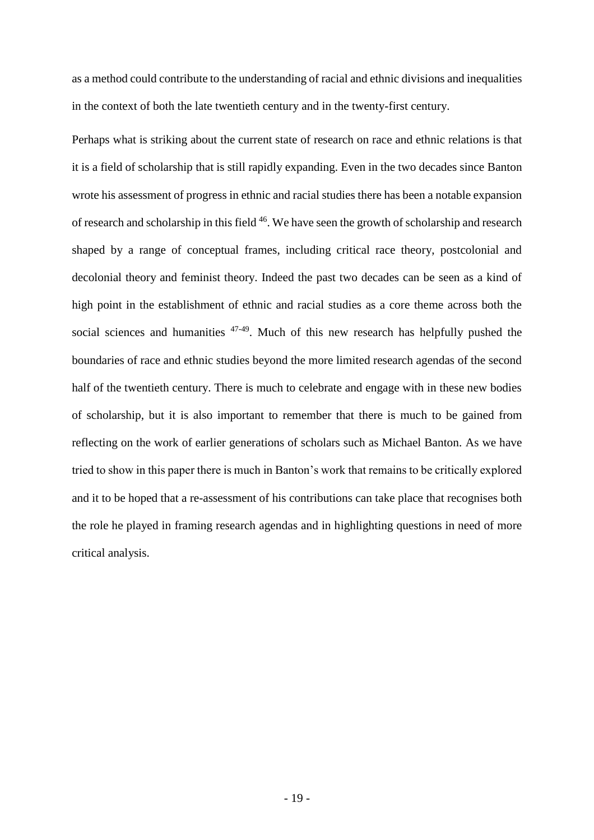as a method could contribute to the understanding of racial and ethnic divisions and inequalities in the context of both the late twentieth century and in the twenty-first century.

Perhaps what is striking about the current state of research on race and ethnic relations is that it is a field of scholarship that is still rapidly expanding. Even in the two decades since Banton wrote his assessment of progress in ethnic and racial studies there has been a notable expansion of research and scholarship in this field <sup>46</sup>. We have seen the growth of scholarship and research shaped by a range of conceptual frames, including critical race theory, postcolonial and decolonial theory and feminist theory. Indeed the past two decades can be seen as a kind of high point in the establishment of ethnic and racial studies as a core theme across both the social sciences and humanities  $47-49$ . Much of this new research has helpfully pushed the boundaries of race and ethnic studies beyond the more limited research agendas of the second half of the twentieth century. There is much to celebrate and engage with in these new bodies of scholarship, but it is also important to remember that there is much to be gained from reflecting on the work of earlier generations of scholars such as Michael Banton. As we have tried to show in this paper there is much in Banton's work that remains to be critically explored and it to be hoped that a re-assessment of his contributions can take place that recognises both the role he played in framing research agendas and in highlighting questions in need of more critical analysis.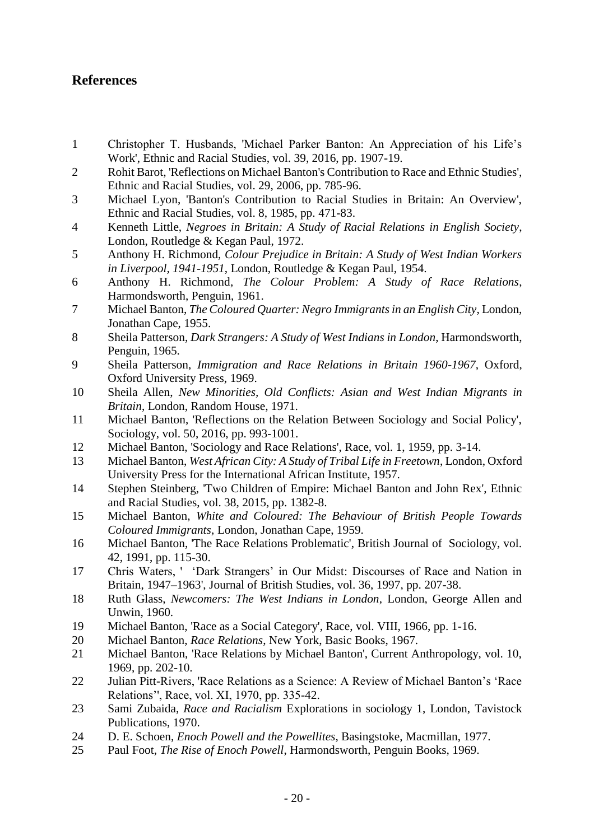# **References**

- 1 Christopher T. Husbands, 'Michael Parker Banton: An Appreciation of his Life's Work', Ethnic and Racial Studies, vol. 39, 2016, pp. 1907-19.
- 2 Rohit Barot, 'Reflections on Michael Banton's Contribution to Race and Ethnic Studies', Ethnic and Racial Studies, vol. 29, 2006, pp. 785-96.
- 3 Michael Lyon, 'Banton's Contribution to Racial Studies in Britain: An Overview', Ethnic and Racial Studies, vol. 8, 1985, pp. 471-83.
- 4 Kenneth Little, *Negroes in Britain: A Study of Racial Relations in English Society*, London, Routledge & Kegan Paul, 1972.
- 5 Anthony H. Richmond, *Colour Prejudice in Britain: A Study of West Indian Workers in Liverpool, 1941-1951*, London, Routledge & Kegan Paul, 1954.
- 6 Anthony H. Richmond, *The Colour Problem: A Study of Race Relations*, Harmondsworth, Penguin, 1961.
- 7 Michael Banton, *The Coloured Quarter: Negro Immigrants in an English City*, London, Jonathan Cape, 1955.
- 8 Sheila Patterson, *Dark Strangers: A Study of West Indians in London*, Harmondsworth, Penguin, 1965.
- 9 Sheila Patterson, *Immigration and Race Relations in Britain 1960-1967*, Oxford, Oxford University Press, 1969.
- 10 Sheila Allen, *New Minorities, Old Conflicts: Asian and West Indian Migrants in Britain*, London, Random House, 1971.
- 11 Michael Banton, 'Reflections on the Relation Between Sociology and Social Policy', Sociology, vol. 50, 2016, pp. 993-1001.
- 12 Michael Banton, 'Sociology and Race Relations', Race, vol. 1, 1959, pp. 3-14.
- 13 Michael Banton, *West African City: A Study of Tribal Life in Freetown*, London, Oxford University Press for the International African Institute, 1957.
- 14 Stephen Steinberg, 'Two Children of Empire: Michael Banton and John Rex', Ethnic and Racial Studies, vol. 38, 2015, pp. 1382-8.
- 15 Michael Banton, *White and Coloured: The Behaviour of British People Towards Coloured Immigrants*, London, Jonathan Cape, 1959.
- 16 Michael Banton, 'The Race Relations Problematic', British Journal of Sociology, vol. 42, 1991, pp. 115-30.
- 17 Chris Waters, ' 'Dark Strangers' in Our Midst: Discourses of Race and Nation in Britain, 1947–1963', Journal of British Studies, vol. 36, 1997, pp. 207-38.
- 18 Ruth Glass, *Newcomers: The West Indians in London*, London, George Allen and Unwin, 1960.
- 19 Michael Banton, 'Race as a Social Category', Race, vol. VIII, 1966, pp. 1-16.
- 20 Michael Banton, *Race Relations*, New York, Basic Books, 1967.
- 21 Michael Banton, 'Race Relations by Michael Banton', Current Anthropology, vol. 10, 1969, pp. 202-10.
- 22 Julian Pitt-Rivers, 'Race Relations as a Science: A Review of Michael Banton's 'Race Relations'', Race, vol. XI, 1970, pp. 335-42.
- 23 Sami Zubaida, *Race and Racialism* Explorations in sociology 1, London, Tavistock Publications, 1970.
- 24 D. E. Schoen, *Enoch Powell and the Powellites*, Basingstoke, Macmillan, 1977.
- 25 Paul Foot, *The Rise of Enoch Powell*, Harmondsworth, Penguin Books, 1969.